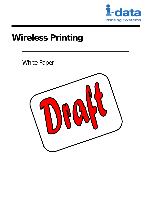

# **Wireless Printing**

White Paper

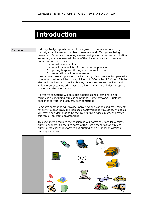## **Introduction**

**Overview 1ndustry Analysts predict an explosive growth in pervasive computing** market, as an increasing number of solutions and offerings are being developed. Pervasive computing means having information and application access anywhere as needed. Some of the characteristics and trends of pervasive computing are:

- Increased user mobility
- Increase in availability of Information appliances
- Computing is spread throughout the environment
- Communication will become easier

International Data Corporation predict that by 2003 over 6 Billion pervasive computing devices will be in use, divided into 300 million PDA's and 2 Billion electronic devices (e.g. mobile phones, pagers and set top devices) and 5 Billion internet connected domestic devices. Many similar industry reports concur with this information.

 Pervasive computing will be made possible using a combination of technologies, including wireless computing, home networks, Bluetooth, appliance servers, thin servers, peer computing.

Pervasive computing will provide many new applications and requirements for printing, specifically the increased deployment of wireless technologies will create new demands to be met by printing devices in order to match this rapidly emerging environment.

This document describes the positioning of i-data's solutions for wireless printing support. It describes some of the usage scenarios for wireless printing, the challenges for wireless printing and a number of wireless printing scenarios.

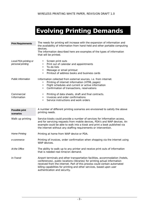## **Evolving Printing Demands**

| <b>Print Requirements</b>                  | The needs for printing will increase with the expansion of information and                                                                                                                                                                                                                                                                       |
|--------------------------------------------|--------------------------------------------------------------------------------------------------------------------------------------------------------------------------------------------------------------------------------------------------------------------------------------------------------------------------------------------------|
|                                            | the availability of information from hand-held and other portable computing<br>devices.<br>The information described here are examples of the types of information<br>that will be printed.                                                                                                                                                      |
| Local PDA printing or<br>personal printing | Screen print outs<br>٠<br>Print out of calendar and appointments<br>$\bullet$<br>To-do lists<br>$\bullet$<br>Message or email printout<br>$\bullet$<br>Printout of address books and business cards<br>$\bullet$                                                                                                                                 |
| <b>Public Information</b>                  | Information collected from external sources, i.e. from internet.<br>Printing of internet information (HTML pages)<br>$\bullet$<br>Flight schedules and current or active information<br>$\bullet$<br>Confirmation of transactions, reservations<br>$\bullet$                                                                                     |
| Commercial<br>Information                  | Printing of data sheets, draft and final contracts.<br>$\bullet$<br>Invoices and order confirmations<br>$\bullet$<br>Service instructions and work orders<br>٠                                                                                                                                                                                   |
| <b>Possible print</b><br>scenarios         | A number of different printing scenarios are envisioned to satisfy the above<br>printing needs.                                                                                                                                                                                                                                                  |
| Walk-up printing                           | Service kiosks could provide a number of services for information access,<br>and for servicing requests from mobile devices, PDA's and WAP devices. An<br>example could be able to walk into a kiosk and print a book published via<br>the internet without any staffing requirements or intervention.                                           |
| <b>Home Printing</b>                       | Printing at home from WAP device or PDA.                                                                                                                                                                                                                                                                                                         |
| e-commerce                                 | Printing of invoices, order confirmation when shopping via the internet using<br>WAP devices.                                                                                                                                                                                                                                                    |
| At the Office                              | The ability to walk-up to any printer and receive print outs of information<br>that is needed real-time/on-demand.                                                                                                                                                                                                                               |
| In-Transit                                 | Airport terminals and other transportation facilities, accommodation (hotels,<br>conferences), public locations (libraries) for printing actual information<br>received from the internet. Part of this process could contain automated<br>billing capabilities for printing and other services, based upon user<br>authentication and security. |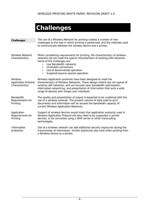# **Challenges**

| Challenges                                                 | The use of a Wireless Network for printing creates a number of new<br>challenges to the way in which printing is performed, and the methods used<br>to communicate between the wireless device and a printer.                                                                                                                                            |
|------------------------------------------------------------|----------------------------------------------------------------------------------------------------------------------------------------------------------------------------------------------------------------------------------------------------------------------------------------------------------------------------------------------------------|
| <b>Wireless Network</b><br>Characteristics                 | When considering requirements for printing, the characteristics of wireless<br>networks do not meet the typical characteristics of existing LAN networks.<br>Some of the challenges are:<br>Low Bandwidth networks<br>Unreliable connections<br>$\bullet$<br>Use of disconnected operation<br>$\bullet$<br>Suspend/resume session operation<br>$\bullet$ |
| Wireless<br><b>Application Protocol</b><br>Characteristics | Wireless Application protocols have been designed to meet the<br>characteristics of Wireless Networks. These design criteria are not typical of<br>existing LAN networks, and are focused upon bandwidth optimization,<br>interrupted networking, and presentation of information that suits a wide<br>range of devices with simple user interfaces.     |
| <b>Bandwidth</b><br>Requirements for<br>Printing           | The quality and presentation of output is expected to be unaltered with the<br>use of a wireless network. The present volume of data used to print<br>documents and information will far exceed the bandwidth capacity of<br>current Wireless Application Networks.                                                                                      |
| Application<br>Requirements for<br>Printing                | Support of wireless devices would imply that application protocols used in<br>Wireless Application Protocol will also need to be supported in printer<br>devices, or be converted using a WAP server or other transcoding<br>technologies.                                                                                                               |
| Information<br>protection                                  | Use of a wireless network can add additional security exposures during the<br>transmission of information. Similar exposures also exist when printing from<br>a Wireless Device to a printer.                                                                                                                                                            |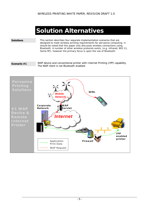## **Solution Alternatives**

**Solutions This section describes four separate implementation scenarios that are** designed to meet wireless printing requirements for pervasive computing. It should be noted that this paper only discusses wireless connections using Bluetooth. A number of other wireless protocols exists, (e.g. infrared, 802.11, Home RF), however the primary focus is upon the use of Bluetooth.

**Scenario #1** *WAP device and conventional printer with Internet Printing (IPP) capability. The WAP client is not Bluetooth enabled.* 

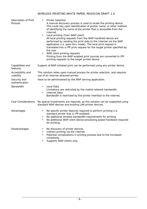| Description of Print<br>Process | <b>Printer Selection</b><br>A manual discovery process is used to locate the printing device.<br>This could rely upon identification of printer name, or other method<br>of identifying the name of the printer that is accessible from the<br>Internet.<br>Local printing (from WAP client)<br>$\bullet$<br>All local printing requests from the WAP handheld device are<br>performed by sending the print data to the Internet via the WAP<br>application (i.e. pass-thru mode). The local print request is<br>translated into a IPP print request for the target printer specified by<br>the user.<br>WAP client printing requests<br>Printing from the WAP enabled print sources are converted to IPP<br>printing requests to the target printer device. |
|---------------------------------|--------------------------------------------------------------------------------------------------------------------------------------------------------------------------------------------------------------------------------------------------------------------------------------------------------------------------------------------------------------------------------------------------------------------------------------------------------------------------------------------------------------------------------------------------------------------------------------------------------------------------------------------------------------------------------------------------------------------------------------------------------------|
| Capabilities and<br>features    | Support of WAP initiated print can be performed using any printer device.                                                                                                                                                                                                                                                                                                                                                                                                                                                                                                                                                                                                                                                                                    |
| Accessibility and<br>usability  | This solution relies upon manual process for printer selection, and requires<br>use of an internet attached printer.                                                                                                                                                                                                                                                                                                                                                                                                                                                                                                                                                                                                                                         |
| Security and<br>authentication  | Have to be administered by the WAP serving application.                                                                                                                                                                                                                                                                                                                                                                                                                                                                                                                                                                                                                                                                                                      |
| <b>Bandwidth</b>                | Local Data<br>$\bullet$<br>Limitations are restricted by the mobile network bandwidth.<br><b>Internet Data</b><br>$\bullet$<br>Bandwidth is restricted by the printer interface to the internet.                                                                                                                                                                                                                                                                                                                                                                                                                                                                                                                                                             |
| Cost Considerations             | No special investments are required, as this solution can be supported using<br>standard WAP devices and existing LAN printer devices.                                                                                                                                                                                                                                                                                                                                                                                                                                                                                                                                                                                                                       |
| Advantages                      | No specific printer features required to perform printing (i.e.<br>$\bullet$<br>standard printer that is IPP enabled).<br>No additional wireless bandwidth requirements for printing<br>$\bullet$<br>No additional WAP client device processing power/hardware required<br>$\bullet$<br>for printing.                                                                                                                                                                                                                                                                                                                                                                                                                                                        |
| Disadvantages                   | No discovery of printer devices.<br>٠<br>Indirect printing via the Internet<br>$\bullet$<br>Potential complications in printing process due to the increased<br>$\bullet$<br>complexity.<br>Supports WAP clients only.                                                                                                                                                                                                                                                                                                                                                                                                                                                                                                                                       |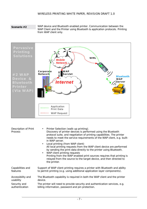**Scenario #2** *WAP device and Bluetooth enabled printer. Communication between the WAP Client and the Printer using Bluetooth & application protocols. Printing from WAP client only.* 



| <b>Description of Print</b><br>Process | Printer Selection (walk-up printing).<br>$\bullet$<br>Discovery of printer devices is performed using the Bluetooth<br>protocol suite, and negotiation of printing capabilities. The printer<br>needs to meet the service requirements of the WAP client, e.g. built-<br>in WAP server.<br>Local printing (from WAP client)<br>$\bullet$<br>All local printing requests from the WAP client device are performed<br>by sending the print data directly to the printer using Bluetooth.<br>WAP client printing requests<br>$\bullet$<br>Printing from the WAP enabled print sources requires that printing is<br>relayed from the source to the target device, and then directed to<br>the printer. |
|----------------------------------------|----------------------------------------------------------------------------------------------------------------------------------------------------------------------------------------------------------------------------------------------------------------------------------------------------------------------------------------------------------------------------------------------------------------------------------------------------------------------------------------------------------------------------------------------------------------------------------------------------------------------------------------------------------------------------------------------------|
| Capabilities and                       | Support of WAP client printing requires a printer with Bluetooth and ability                                                                                                                                                                                                                                                                                                                                                                                                                                                                                                                                                                                                                       |
| features                               | to permit printing (e.g. using additional application layer components).                                                                                                                                                                                                                                                                                                                                                                                                                                                                                                                                                                                                                           |
| Accessibility and                      | The Bluetooth capability is required in both the WAP client and the printer                                                                                                                                                                                                                                                                                                                                                                                                                                                                                                                                                                                                                        |
| usability                              | device.                                                                                                                                                                                                                                                                                                                                                                                                                                                                                                                                                                                                                                                                                            |
| Security and                           | The printer will need to provide security and authentication services, e.g.                                                                                                                                                                                                                                                                                                                                                                                                                                                                                                                                                                                                                        |
| authentication                         | billing information, password and pin protection.                                                                                                                                                                                                                                                                                                                                                                                                                                                                                                                                                                                                                                                  |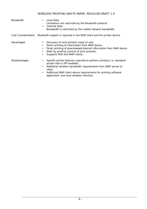- *Bandwidth*  Local Data
	- Limitations are restricted by the Bluetooth protocol. • Internet Data
		- Bandwidth is restricted by the mobile network bandwidth.

*Cost Considerations* Bluetooth support is required in the WAP client and the printer device.

- *Advantages*  Discovery of local printers (ease of use)
	- Direct printing of information from WAP device
	- Direct printing of downloaded/internet information from WAP device
	- Walk by printing (control of print process).
	- Supports PDA and WAP clients.

- *Disadvantages*  Specific printer features required to perform printing (i.e. standard printer that is IPP enabled).
	- Additional wireless bandwidth requirements from WAP server to client
	- Additional WAP client device requirements for printing software application, and local wireless interface.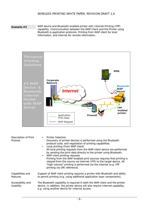**Scenario #3** *WAP device and Bluetooth enabled printer with Internet Printing (IPP) capability. Communication between the WAP Client and the Printer using Bluetooth & application protocols. Printing from WAP client for local information, and internet for remote information.* 



| <b>Description of Print</b><br><b>Process</b> | <b>Printer Selection</b><br>$\bullet$<br>Discovery of printer devices is performed using the Bluetooth<br>protocol suite, and negotiation of printing capabilities.<br>• Local printing (from WAP client)<br>All local printing requests from the WAP client device are performed<br>by sending the print data directly to the printer using Bluetooth.<br>WAP client printing requests<br>$\bullet$<br>Printing from the WAP enabled print sources requires that printing is<br>relayed from the source via internet (IPP) to the target device. All<br>"high-volume" printing is performed via the internet (e.g. IPP<br>printing via URI reference). |
|-----------------------------------------------|---------------------------------------------------------------------------------------------------------------------------------------------------------------------------------------------------------------------------------------------------------------------------------------------------------------------------------------------------------------------------------------------------------------------------------------------------------------------------------------------------------------------------------------------------------------------------------------------------------------------------------------------------------|
| Capabilities and<br>features                  | Support of WAP client printing requires a printer with Bluetooth and ability<br>to permit printing (e.g. using additional application layer components).                                                                                                                                                                                                                                                                                                                                                                                                                                                                                                |
| Accessibility and<br>Usability                | The Bluetooth capability is required in both the WAP client and the printer<br>device. In addition, the printer device will also require Internet capability,<br>e.g. using another device for Internet access.                                                                                                                                                                                                                                                                                                                                                                                                                                         |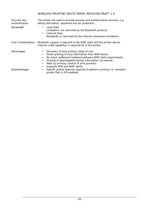| Security and<br>authentication | The printer will need to provide security and authentication services, e.g.<br>billing information, password and pin protection.                                                                                                                                                                                                                                                              |
|--------------------------------|-----------------------------------------------------------------------------------------------------------------------------------------------------------------------------------------------------------------------------------------------------------------------------------------------------------------------------------------------------------------------------------------------|
| <b>Bandwidth</b>               | Local Data<br>$\bullet$<br>Limitations are restricted by the Bluetooth protocol.<br>Internet Data<br>٠<br>Bandwidth is restricted by the internet connection limitations.                                                                                                                                                                                                                     |
| Cost Considerations            | Bluetooth support is required in the WAP client and the printer device.<br>Internet (LAN capability) is required for in the printer.                                                                                                                                                                                                                                                          |
| Advantages                     | Discovery of local printers (ease of use)<br>$\bullet$<br>Direct printing of local information from WAP device<br>$\bullet$<br>No major additional hardware/software WAP client requirements<br>$\bullet$<br>Printing of downloaded/internet information via internet<br>$\bullet$<br>Walk by printing (control of print process).<br>$\bullet$<br>Supports PDA and WAP clients.<br>$\bullet$ |
| <b>Disadvantages</b>           | Specific printer features required to perform printing (i.e. standard<br>$\bullet$<br>printer that is IPP enabled).                                                                                                                                                                                                                                                                           |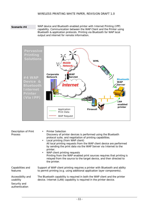**Scenario #4** *WAP device and Bluetooth enabled printer with Internet Printing (IPP) capability. Communication between the WAP Client and the Printer using Bluetooth & application protocols. Printing via Bluetooth for WAP local output and internet for remote information.* 



| <b>Description of Print</b><br>Process                           | <b>Printer Selection</b><br>$\bullet$<br>Discovery of printer devices is performed using the Bluetooth<br>protocol suite, and negotiation of printing capabilities.<br>Local printing (from WAP client)<br>$\bullet$<br>All local printing requests from the WAP client device are performed<br>by sending the print data via the WAP Server via Internet to the<br>printer.<br>WAP client printing requests<br>$\bullet$<br>Printing from the WAP enabled print sources requires that printing is<br>relayed from the source to the target device, and then directed to<br>the printer. |
|------------------------------------------------------------------|------------------------------------------------------------------------------------------------------------------------------------------------------------------------------------------------------------------------------------------------------------------------------------------------------------------------------------------------------------------------------------------------------------------------------------------------------------------------------------------------------------------------------------------------------------------------------------------|
| Capabilities and<br>features                                     | Support of WAP client printing requires a printer with Bluetooth and ability<br>to permit printing (e.g. using additional application layer components).                                                                                                                                                                                                                                                                                                                                                                                                                                 |
| Accessibility and<br>usability<br>Security and<br>authentication | The Bluetooth capability is required in both the WAP client and the printer<br>device. Internet (LAN) capability is required in the printer device.                                                                                                                                                                                                                                                                                                                                                                                                                                      |